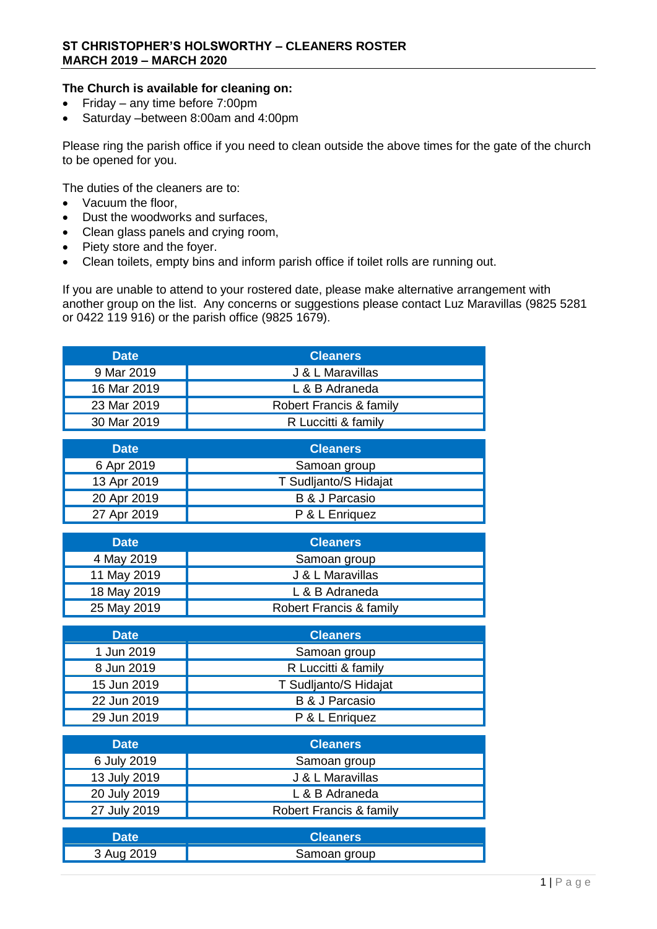## **The Church is available for cleaning on:**

- Friday any time before 7:00pm
- Saturday –between 8:00am and 4:00pm

Please ring the parish office if you need to clean outside the above times for the gate of the church to be opened for you.

The duties of the cleaners are to:

- Vacuum the floor,
- Dust the woodworks and surfaces,
- Clean glass panels and crying room,
- Piety store and the foyer.
- Clean toilets, empty bins and inform parish office if toilet rolls are running out.

If you are unable to attend to your rostered date, please make alternative arrangement with another group on the list. Any concerns or suggestions please contact Luz Maravillas (9825 5281 or 0422 119 916) or the parish office (9825 1679).

| <b>Date</b>                                                                                                                                                       | <b>Cleaners</b>                                                                                                                                                                                                                         |
|-------------------------------------------------------------------------------------------------------------------------------------------------------------------|-----------------------------------------------------------------------------------------------------------------------------------------------------------------------------------------------------------------------------------------|
| 9 Mar 2019                                                                                                                                                        | J & L Maravillas                                                                                                                                                                                                                        |
| 16 Mar 2019                                                                                                                                                       | L & B Adraneda                                                                                                                                                                                                                          |
| 23 Mar 2019                                                                                                                                                       | Robert Francis & family                                                                                                                                                                                                                 |
| 30 Mar 2019                                                                                                                                                       | R Luccitti & family                                                                                                                                                                                                                     |
| <b>Date</b>                                                                                                                                                       | <b>Cleaners</b>                                                                                                                                                                                                                         |
|                                                                                                                                                                   |                                                                                                                                                                                                                                         |
| 6 Apr 2019                                                                                                                                                        | Samoan group                                                                                                                                                                                                                            |
| 13 Apr 2019                                                                                                                                                       | T Sudljanto/S Hidajat                                                                                                                                                                                                                   |
| 20 Apr 2019                                                                                                                                                       | <b>B &amp; J Parcasio</b>                                                                                                                                                                                                               |
| 27 Apr 2019                                                                                                                                                       | P & L Enriquez                                                                                                                                                                                                                          |
|                                                                                                                                                                   |                                                                                                                                                                                                                                         |
|                                                                                                                                                                   |                                                                                                                                                                                                                                         |
|                                                                                                                                                                   |                                                                                                                                                                                                                                         |
|                                                                                                                                                                   |                                                                                                                                                                                                                                         |
|                                                                                                                                                                   |                                                                                                                                                                                                                                         |
|                                                                                                                                                                   |                                                                                                                                                                                                                                         |
| <b>Date</b>                                                                                                                                                       | <b>Cleaners</b>                                                                                                                                                                                                                         |
| 1 Jun 2019                                                                                                                                                        | Samoan group                                                                                                                                                                                                                            |
| 8 Jun 2019                                                                                                                                                        | R Luccitti & family                                                                                                                                                                                                                     |
| 15 Jun 2019                                                                                                                                                       | T Sudljanto/S Hidajat                                                                                                                                                                                                                   |
| 22 Jun 2019                                                                                                                                                       | <b>B &amp; J Parcasio</b>                                                                                                                                                                                                               |
| 29 Jun 2019                                                                                                                                                       | P & L Enriquez                                                                                                                                                                                                                          |
|                                                                                                                                                                   |                                                                                                                                                                                                                                         |
|                                                                                                                                                                   |                                                                                                                                                                                                                                         |
|                                                                                                                                                                   |                                                                                                                                                                                                                                         |
|                                                                                                                                                                   |                                                                                                                                                                                                                                         |
|                                                                                                                                                                   |                                                                                                                                                                                                                                         |
| 27 July 2019                                                                                                                                                      |                                                                                                                                                                                                                                         |
|                                                                                                                                                                   |                                                                                                                                                                                                                                         |
|                                                                                                                                                                   |                                                                                                                                                                                                                                         |
| <b>Date</b><br>4 May 2019<br>11 May 2019<br>18 May 2019<br>25 May 2019<br><b>Date</b><br>6 July 2019<br>13 July 2019<br>20 July 2019<br><b>Date</b><br>3 Aug 2019 | <b>Cleaners</b><br>Samoan group<br>J & L Maravillas<br>L & B Adraneda<br>Robert Francis & family<br><b>Cleaners</b><br>Samoan group<br>J & L Maravillas<br>L & B Adraneda<br>Robert Francis & family<br><b>Cleaners</b><br>Samoan group |